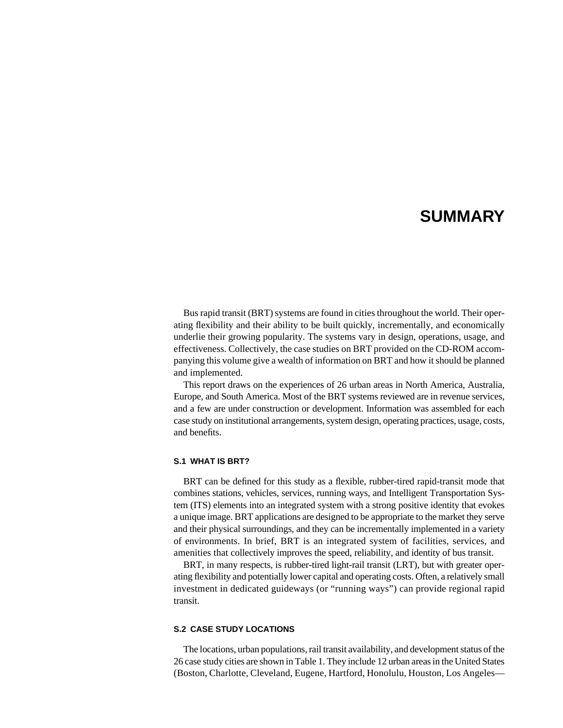# **SUMMARY**

Bus rapid transit (BRT) systems are found in cities throughout the world. Their operating flexibility and their ability to be built quickly, incrementally, and economically underlie their growing popularity. The systems vary in design, operations, usage, and effectiveness. Collectively, the case studies on BRT provided on the CD-ROM accompanying this volume give a wealth of information on BRT and how it should be planned and implemented.

This report draws on the experiences of 26 urban areas in North America, Australia, Europe, and South America. Most of the BRT systems reviewed are in revenue services, and a few are under construction or development. Information was assembled for each case study on institutional arrangements, system design, operating practices, usage, costs, and benefits.

### **S.1 WHAT IS BRT?**

BRT can be defined for this study as a flexible, rubber-tired rapid-transit mode that combines stations, vehicles, services, running ways, and Intelligent Transportation System (ITS) elements into an integrated system with a strong positive identity that evokes a unique image. BRT applications are designed to be appropriate to the market they serve and their physical surroundings, and they can be incrementally implemented in a variety of environments. In brief, BRT is an integrated system of facilities, services, and amenities that collectively improves the speed, reliability, and identity of bus transit.

BRT, in many respects, is rubber-tired light-rail transit (LRT), but with greater operating flexibility and potentially lower capital and operating costs. Often, a relatively small investment in dedicated guideways (or "running ways") can provide regional rapid transit.

#### **S.2 CASE STUDY LOCATIONS**

The locations, urban populations, rail transit availability, and development status of the 26 case study cities are shown in Table 1. They include 12 urban areas in the United States (Boston, Charlotte, Cleveland, Eugene, Hartford, Honolulu, Houston, Los Angeles—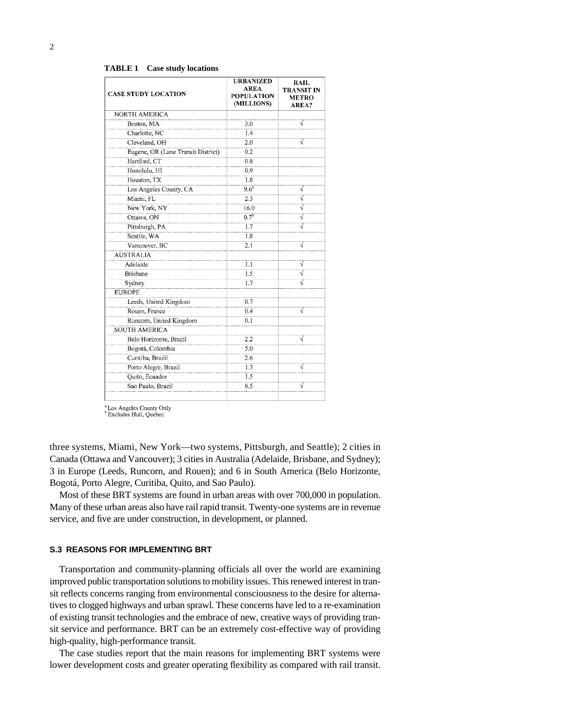**TABLE 1 Case study locations**

| <b>CASE STUDY LOCATION</b>         | <b>URBANIZED</b><br><b>AREA</b><br><b>POPULATION</b><br>(MILLIONS) | <b>RAIL</b><br>TRANSIT IN<br><b>METRO</b><br>AREA? |
|------------------------------------|--------------------------------------------------------------------|----------------------------------------------------|
| <b>NORTH AMERICA</b>               |                                                                    |                                                    |
| Boston, MA                         | 3.0                                                                |                                                    |
| Charlotte, NC                      | 1.4                                                                |                                                    |
| Cleveland, OH                      | 2.0                                                                |                                                    |
| Eugene, OR (Lane Transit District) | 0.2                                                                |                                                    |
| Hartford, CT                       | 0.8                                                                |                                                    |
| Honolulu, HI                       | 0.9                                                                |                                                    |
| Houston, TX                        | 1.8                                                                |                                                    |
| Los Angeles County, CA             | 9.6 <sup>a</sup>                                                   | ν                                                  |
| Miami, FL                          | 2.3                                                                | V                                                  |
| New York, NY                       | 16.0                                                               |                                                    |
| Ottawa, ON                         | $0.7^{b}$                                                          | V                                                  |
| Pittsburgh, PA                     | 1.7                                                                |                                                    |
| Seattle, WA                        | 1.8                                                                |                                                    |
| Vancouver, BC                      | 2.1                                                                |                                                    |
| <b>AUSTRALIA</b>                   |                                                                    |                                                    |
| Adelaide                           | 1.1                                                                |                                                    |
| <b>Brisbane</b>                    | 1.5                                                                | V                                                  |
| Sydney                             | 1.7                                                                | V                                                  |
| <b>EUROPE</b>                      |                                                                    |                                                    |
| Leeds, United Kingdom              | 0.7                                                                |                                                    |
| Rouen, France                      | 0.4                                                                | ν                                                  |
| Runcorn, United Kingdom            | 0.1                                                                |                                                    |
| <b>SOUTH AMERICA</b>               |                                                                    |                                                    |
| Belo Horizonte, Brazil             | 2.2                                                                |                                                    |
| Bogotá, Colombia                   | 5.0                                                                |                                                    |
| Curitiba, Brazil                   | 2.6                                                                |                                                    |
| Porto Alegre, Brazil               | 1.3                                                                | ν                                                  |
| Quito, Ecuador                     | 1.5                                                                |                                                    |
| Sao Paulo, Brazil                  | 8.5                                                                | ٦İ                                                 |
|                                    |                                                                    |                                                    |

<sup>a</sup> Los Angeles County Only<br><sup>b</sup> Excludes Hull, Quebec

three systems, Miami, New York—two systems, Pittsburgh, and Seattle); 2 cities in Canada (Ottawa and Vancouver); 3 cities in Australia (Adelaide, Brisbane, and Sydney); 3 in Europe (Leeds, Runcorn, and Rouen); and 6 in South America (Belo Horizonte, Bogotá, Porto Alegre, Curitiba, Quito, and Sao Paulo).

Most of these BRT systems are found in urban areas with over 700,000 in population. Many of these urban areas also have rail rapid transit. Twenty-one systems are in revenue service, and five are under construction, in development, or planned.

#### **S.3 REASONS FOR IMPLEMENTING BRT**

Transportation and community-planning officials all over the world are examining improved public transportation solutions to mobility issues. This renewed interest in transit reflects concerns ranging from environmental consciousness to the desire for alternatives to clogged highways and urban sprawl. These concerns have led to a re-examination of existing transit technologies and the embrace of new, creative ways of providing transit service and performance. BRT can be an extremely cost-effective way of providing high-quality, high-performance transit.

The case studies report that the main reasons for implementing BRT systems were lower development costs and greater operating flexibility as compared with rail transit.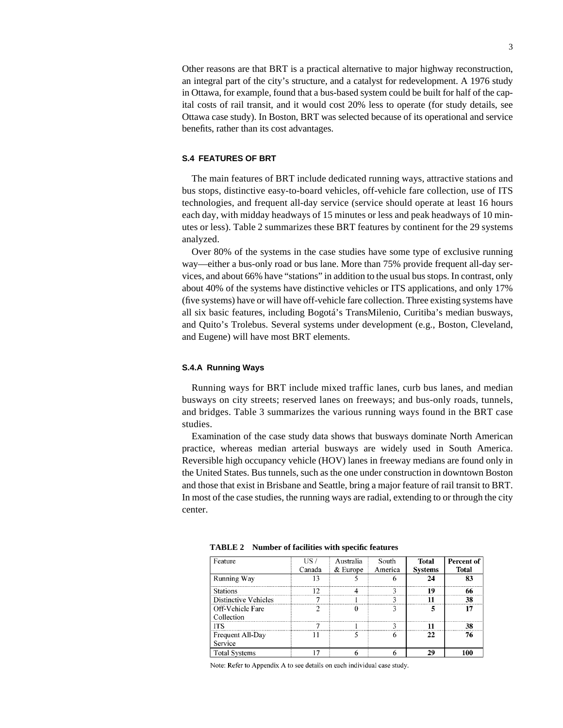Other reasons are that BRT is a practical alternative to major highway reconstruction, an integral part of the city's structure, and a catalyst for redevelopment. A 1976 study in Ottawa, for example, found that a bus-based system could be built for half of the capital costs of rail transit, and it would cost 20% less to operate (for study details, see Ottawa case study). In Boston, BRT was selected because of its operational and service benefits, rather than its cost advantages.

# **S.4 FEATURES OF BRT**

The main features of BRT include dedicated running ways, attractive stations and bus stops, distinctive easy-to-board vehicles, off-vehicle fare collection, use of ITS technologies, and frequent all-day service (service should operate at least 16 hours each day, with midday headways of 15 minutes or less and peak headways of 10 minutes or less). Table 2 summarizes these BRT features by continent for the 29 systems analyzed.

Over 80% of the systems in the case studies have some type of exclusive running way—either a bus-only road or bus lane. More than 75% provide frequent all-day services, and about 66% have "stations" in addition to the usual bus stops. In contrast, only about 40% of the systems have distinctive vehicles or ITS applications, and only 17% (five systems) have or will have off-vehicle fare collection. Three existing systems have all six basic features, including Bogotá's TransMilenio, Curitiba's median busways, and Quito's Trolebus. Several systems under development (e.g., Boston, Cleveland, and Eugene) will have most BRT elements.

#### **S.4.A Running Ways**

Running ways for BRT include mixed traffic lanes, curb bus lanes, and median busways on city streets; reserved lanes on freeways; and bus-only roads, tunnels, and bridges. Table 3 summarizes the various running ways found in the BRT case studies.

Examination of the case study data shows that busways dominate North American practice, whereas median arterial busways are widely used in South America. Reversible high occupancy vehicle (HOV) lanes in freeway medians are found only in the United States. Bus tunnels, such as the one under construction in downtown Boston and those that exist in Brisbane and Seattle, bring a major feature of rail transit to BRT. In most of the case studies, the running ways are radial, extending to or through the city center.

| Feature                        | US 7<br>Canada | Australia<br>$&$ Europe | South<br>America | <b>Total</b><br><b>Systems</b> | Percent of<br><b>Total</b> |
|--------------------------------|----------------|-------------------------|------------------|--------------------------------|----------------------------|
| Running Way                    |                |                         |                  |                                |                            |
| <b>Stations</b>                |                |                         |                  | 19                             |                            |
| Distinctive Vehicles           |                |                         |                  |                                | 38                         |
| Off-Vehicle Fare<br>Collection |                |                         |                  |                                | 17                         |
| ITS                            |                |                         |                  |                                | 38                         |
| Frequent All-Day<br>Service    |                |                         |                  | 22                             |                            |
| <b>Total Systems</b>           |                |                         |                  | 29                             | 100                        |

**TABLE 2 Number of facilities with specific features**

Note: Refer to Appendix A to see details on each individual case study.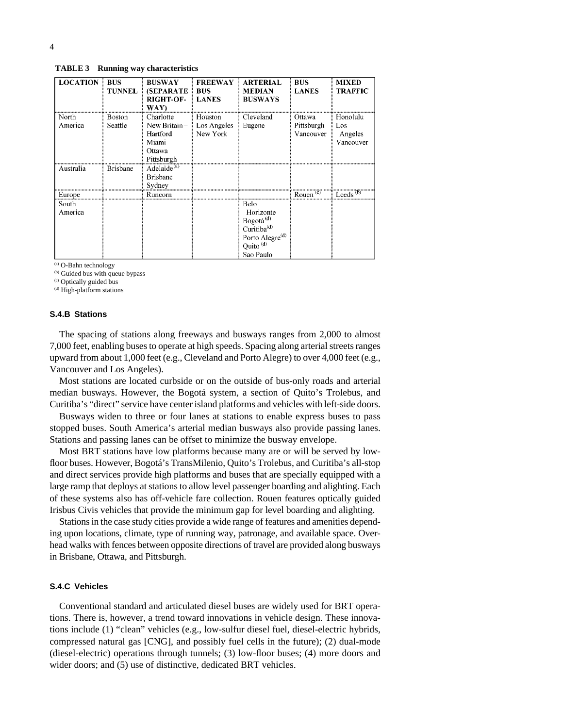**TABLE 3 Running way characteristics**

| <b>LOCATION</b>  | <b>BUS</b><br><b>TUNNEL</b> | <b>BUSWAY</b><br><b>(SEPARATE)</b><br><b>RIGHT-OF-</b><br>WAY)         | <b>FREEWAY</b><br><b>BUS</b><br><b>LANES</b> | <b>ARTERIAL</b><br><b>MEDIAN</b><br><b>BUSWAYS</b>                                                                                        | <b>BUS</b><br><b>LANES</b>        | <b>MIXED</b><br>TRAFFIC                 |
|------------------|-----------------------------|------------------------------------------------------------------------|----------------------------------------------|-------------------------------------------------------------------------------------------------------------------------------------------|-----------------------------------|-----------------------------------------|
| North<br>America | Boston<br>Seattle           | Charlotte<br>New Britain-<br>Hartford<br>Miami<br>Ottawa<br>Pittsburgh | Houston<br>Los Angeles<br>New York           | Cleveland<br>Eugene                                                                                                                       | Ottawa<br>Pittsburgh<br>Vancouver | Honolulu<br>Los<br>Angeles<br>Vancouver |
| Australia        | <b>Brisbane</b>             | Adelaide <sup>(a)</sup><br><b>Brisbane</b><br>Sydney                   |                                              |                                                                                                                                           |                                   |                                         |
| Europe           |                             | Runcorn                                                                |                                              |                                                                                                                                           | Rouen $\binom{c}{c}$              | Leeds $(b)$                             |
| South<br>America |                             |                                                                        |                                              | Belo<br>Horizonte<br>Bogotá <sup>(d)</sup><br>Curitiba <sup>(d)</sup><br>Porto Alegre <sup>(d)</sup><br>Quito <sup>(d)</sup><br>Sao Paulo |                                   |                                         |

(a) O-Bahn technology

(b) Guided bus with queue bypass

(c) Optically guided bus

(d) High-platform stations

#### **S.4.B Stations**

The spacing of stations along freeways and busways ranges from 2,000 to almost 7,000 feet, enabling buses to operate at high speeds. Spacing along arterial streets ranges upward from about 1,000 feet (e.g., Cleveland and Porto Alegre) to over 4,000 feet (e.g., Vancouver and Los Angeles).

Most stations are located curbside or on the outside of bus-only roads and arterial median busways. However, the Bogotá system, a section of Quito's Trolebus, and Curitiba's "direct" service have center island platforms and vehicles with left-side doors.

Busways widen to three or four lanes at stations to enable express buses to pass stopped buses. South America's arterial median busways also provide passing lanes. Stations and passing lanes can be offset to minimize the busway envelope.

Most BRT stations have low platforms because many are or will be served by lowfloor buses. However, Bogotá's TransMilenio, Quito's Trolebus, and Curitiba's all-stop and direct services provide high platforms and buses that are specially equipped with a large ramp that deploys at stations to allow level passenger boarding and alighting. Each of these systems also has off-vehicle fare collection. Rouen features optically guided Irisbus Civis vehicles that provide the minimum gap for level boarding and alighting.

Stations in the case study cities provide a wide range of features and amenities depending upon locations, climate, type of running way, patronage, and available space. Overhead walks with fences between opposite directions of travel are provided along busways in Brisbane, Ottawa, and Pittsburgh.

# **S.4.C Vehicles**

Conventional standard and articulated diesel buses are widely used for BRT operations. There is, however, a trend toward innovations in vehicle design. These innovations include (1) "clean" vehicles (e.g., low-sulfur diesel fuel, diesel-electric hybrids, compressed natural gas [CNG], and possibly fuel cells in the future); (2) dual-mode (diesel-electric) operations through tunnels; (3) low-floor buses; (4) more doors and wider doors; and (5) use of distinctive, dedicated BRT vehicles.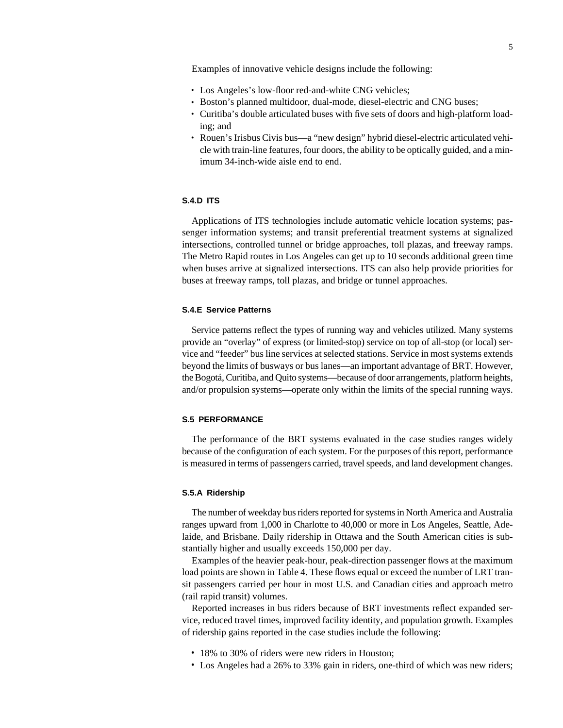Examples of innovative vehicle designs include the following:

- Los Angeles's low-floor red-and-white CNG vehicles;
- Boston's planned multidoor, dual-mode, diesel-electric and CNG buses;
- Curitiba's double articulated buses with five sets of doors and high-platform loading; and
- Rouen's Irisbus Civis bus—a "new design" hybrid diesel-electric articulated vehicle with train-line features, four doors, the ability to be optically guided, and a minimum 34-inch-wide aisle end to end.

# **S.4.D ITS**

Applications of ITS technologies include automatic vehicle location systems; passenger information systems; and transit preferential treatment systems at signalized intersections, controlled tunnel or bridge approaches, toll plazas, and freeway ramps. The Metro Rapid routes in Los Angeles can get up to 10 seconds additional green time when buses arrive at signalized intersections. ITS can also help provide priorities for buses at freeway ramps, toll plazas, and bridge or tunnel approaches.

#### **S.4.E Service Patterns**

Service patterns reflect the types of running way and vehicles utilized. Many systems provide an "overlay" of express (or limited-stop) service on top of all-stop (or local) service and "feeder" bus line services at selected stations. Service in most systems extends beyond the limits of busways or bus lanes—an important advantage of BRT. However, the Bogotá, Curitiba, and Quito systems—because of door arrangements, platform heights, and/or propulsion systems—operate only within the limits of the special running ways.

## **S.5 PERFORMANCE**

The performance of the BRT systems evaluated in the case studies ranges widely because of the configuration of each system. For the purposes of this report, performance is measured in terms of passengers carried, travel speeds, and land development changes.

#### **S.5.A Ridership**

The number of weekday bus riders reported for systems in North America and Australia ranges upward from 1,000 in Charlotte to 40,000 or more in Los Angeles, Seattle, Adelaide, and Brisbane. Daily ridership in Ottawa and the South American cities is substantially higher and usually exceeds 150,000 per day.

Examples of the heavier peak-hour, peak-direction passenger flows at the maximum load points are shown in Table 4. These flows equal or exceed the number of LRT transit passengers carried per hour in most U.S. and Canadian cities and approach metro (rail rapid transit) volumes.

Reported increases in bus riders because of BRT investments reflect expanded service, reduced travel times, improved facility identity, and population growth. Examples of ridership gains reported in the case studies include the following:

- 18% to 30% of riders were new riders in Houston;
- Los Angeles had a 26% to 33% gain in riders, one-third of which was new riders;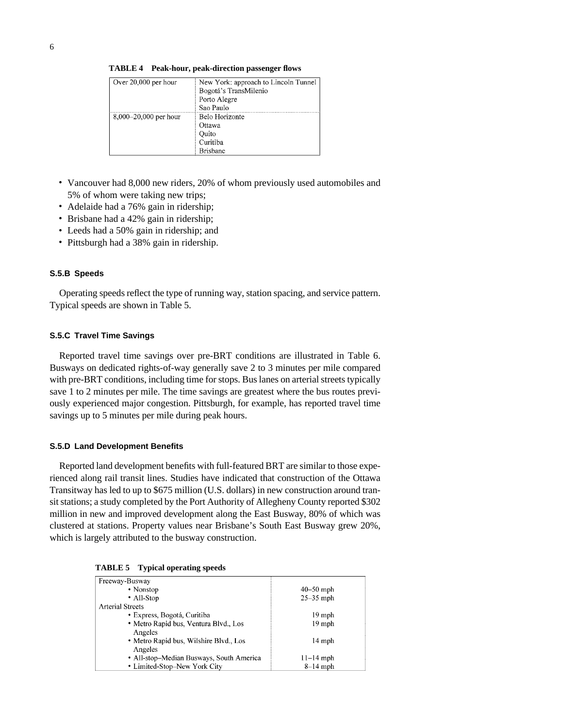| Over 20,000 per hour    | New York: approach to Lincoln Tunnel |
|-------------------------|--------------------------------------|
|                         | Bogotá's TransMilenio                |
|                         | Porto Alegre                         |
|                         | Sao Paulo                            |
| $8,000-20,000$ per hour | Belo Horizonte                       |
|                         | Ottawa                               |
|                         | Ouito                                |
|                         | Curitiba                             |
|                         | <b>Brisbane</b>                      |

**TABLE 4 Peak-hour, peak-direction passenger flows**

- Vancouver had 8,000 new riders, 20% of whom previously used automobiles and 5% of whom were taking new trips;
- Adelaide had a 76% gain in ridership;
- Brisbane had a 42% gain in ridership;
- Leeds had a 50% gain in ridership; and
- Pittsburgh had a 38% gain in ridership.

#### **S.5.B Speeds**

Operating speeds reflect the type of running way, station spacing, and service pattern. Typical speeds are shown in Table 5.

# **S.5.C Travel Time Savings**

Reported travel time savings over pre-BRT conditions are illustrated in Table 6. Busways on dedicated rights-of-way generally save 2 to 3 minutes per mile compared with pre-BRT conditions, including time for stops. Bus lanes on arterial streets typically save 1 to 2 minutes per mile. The time savings are greatest where the bus routes previously experienced major congestion. Pittsburgh, for example, has reported travel time savings up to 5 minutes per mile during peak hours.

#### **S.5.D Land Development Benefits**

Reported land development benefits with full-featured BRT are similar to those experienced along rail transit lines. Studies have indicated that construction of the Ottawa Transitway has led to up to \$675 million (U.S. dollars) in new construction around transit stations; a study completed by the Port Authority of Allegheny County reported \$302 million in new and improved development along the East Busway, 80% of which was clustered at stations. Property values near Brisbane's South East Busway grew 20%, which is largely attributed to the busway construction.

| Freeway-Busway                           |                  |
|------------------------------------------|------------------|
| • Nonstop                                | $40 - 50$ mph    |
| • All-Stop                               | $25 - 35$ mph    |
| <b>Arterial Streets</b>                  |                  |
| • Express, Bogotá, Curitiba              | 19 mph           |
| • Metro Rapid bus, Ventura Blvd., Los    | 19 mph           |
| Angeles                                  |                  |
| • Metro Rapid bus, Wilshire Blvd., Los   | $14 \text{ mph}$ |
| Angeles                                  |                  |
| • All-stop-Median Busways, South America | $11 - 14$ mph    |
| • Limited-Stop–New York City             | $8-14$ mph       |
|                                          |                  |

| TABLE 5 |  | <b>Typical operating speeds</b> |  |
|---------|--|---------------------------------|--|
|---------|--|---------------------------------|--|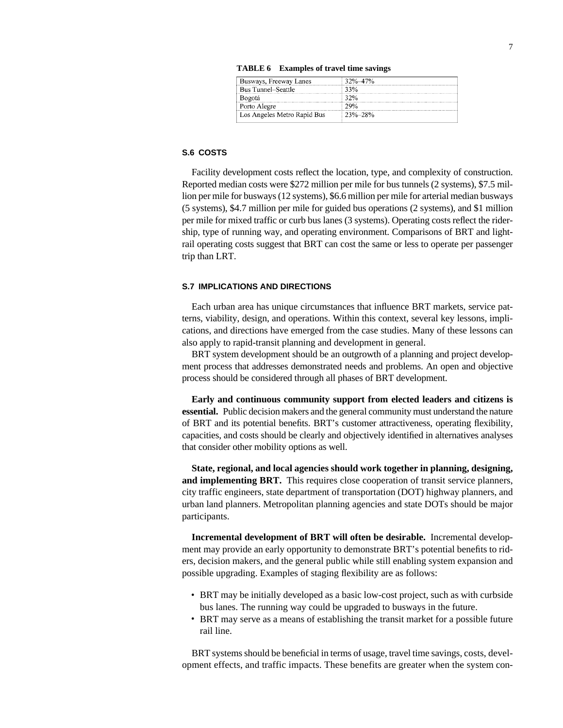| TABLE 6 | <b>Examples of travel time savings</b> |  |  |  |
|---------|----------------------------------------|--|--|--|
|---------|----------------------------------------|--|--|--|

| Busways, Freeway Lanes      | 37%_47%       |
|-----------------------------|---------------|
| <b>Bus Tunnel–Seattle</b>   | 33%           |
| Bogotá                      |               |
| Porto Alegre                | 29%           |
| Los Angeles Metro Rapid Bus | $23\% - 28\%$ |
|                             |               |

# **S.6 COSTS**

Facility development costs reflect the location, type, and complexity of construction. Reported median costs were \$272 million per mile for bus tunnels (2 systems), \$7.5 million per mile for busways (12 systems), \$6.6 million per mile for arterial median busways (5 systems), \$4.7 million per mile for guided bus operations (2 systems), and \$1 million per mile for mixed traffic or curb bus lanes (3 systems). Operating costs reflect the ridership, type of running way, and operating environment. Comparisons of BRT and lightrail operating costs suggest that BRT can cost the same or less to operate per passenger trip than LRT.

#### **S.7 IMPLICATIONS AND DIRECTIONS**

Each urban area has unique circumstances that influence BRT markets, service patterns, viability, design, and operations. Within this context, several key lessons, implications, and directions have emerged from the case studies. Many of these lessons can also apply to rapid-transit planning and development in general.

BRT system development should be an outgrowth of a planning and project development process that addresses demonstrated needs and problems. An open and objective process should be considered through all phases of BRT development.

**Early and continuous community support from elected leaders and citizens is essential.** Public decision makers and the general community must understand the nature of BRT and its potential benefits. BRT's customer attractiveness, operating flexibility, capacities, and costs should be clearly and objectively identified in alternatives analyses that consider other mobility options as well.

**State, regional, and local agencies should work together in planning, designing, and implementing BRT.** This requires close cooperation of transit service planners, city traffic engineers, state department of transportation (DOT) highway planners, and urban land planners. Metropolitan planning agencies and state DOTs should be major participants.

**Incremental development of BRT will often be desirable.** Incremental development may provide an early opportunity to demonstrate BRT's potential benefits to riders, decision makers, and the general public while still enabling system expansion and possible upgrading. Examples of staging flexibility are as follows:

- BRT may be initially developed as a basic low-cost project, such as with curbside bus lanes. The running way could be upgraded to busways in the future.
- BRT may serve as a means of establishing the transit market for a possible future rail line.

BRT systems should be beneficial in terms of usage, travel time savings, costs, development effects, and traffic impacts. These benefits are greater when the system con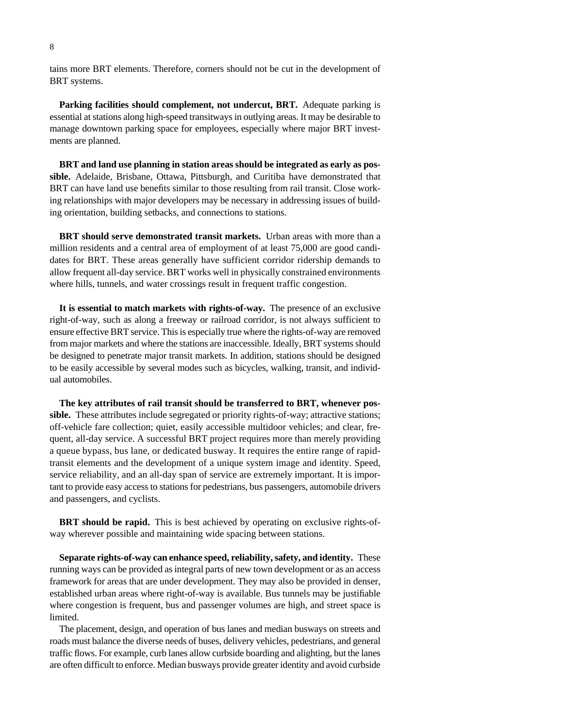tains more BRT elements. Therefore, corners should not be cut in the development of BRT systems.

**Parking facilities should complement, not undercut, BRT.** Adequate parking is essential at stations along high-speed transitways in outlying areas. It may be desirable to manage downtown parking space for employees, especially where major BRT investments are planned.

**BRT and land use planning in station areas should be integrated as early as possible.** Adelaide, Brisbane, Ottawa, Pittsburgh, and Curitiba have demonstrated that BRT can have land use benefits similar to those resulting from rail transit. Close working relationships with major developers may be necessary in addressing issues of building orientation, building setbacks, and connections to stations.

**BRT should serve demonstrated transit markets.** Urban areas with more than a million residents and a central area of employment of at least 75,000 are good candidates for BRT. These areas generally have sufficient corridor ridership demands to allow frequent all-day service. BRT works well in physically constrained environments where hills, tunnels, and water crossings result in frequent traffic congestion.

**It is essential to match markets with rights-of-way.** The presence of an exclusive right-of-way, such as along a freeway or railroad corridor, is not always sufficient to ensure effective BRT service. This is especially true where the rights-of-way are removed from major markets and where the stations are inaccessible. Ideally, BRT systems should be designed to penetrate major transit markets. In addition, stations should be designed to be easily accessible by several modes such as bicycles, walking, transit, and individual automobiles.

**The key attributes of rail transit should be transferred to BRT, whenever pos**sible. These attributes include segregated or priority rights-of-way; attractive stations; off-vehicle fare collection; quiet, easily accessible multidoor vehicles; and clear, frequent, all-day service. A successful BRT project requires more than merely providing a queue bypass, bus lane, or dedicated busway. It requires the entire range of rapidtransit elements and the development of a unique system image and identity. Speed, service reliability, and an all-day span of service are extremely important. It is important to provide easy access to stations for pedestrians, bus passengers, automobile drivers and passengers, and cyclists.

**BRT should be rapid.** This is best achieved by operating on exclusive rights-ofway wherever possible and maintaining wide spacing between stations.

**Separate rights-of-way can enhance speed, reliability, safety, and identity.** These running ways can be provided as integral parts of new town development or as an access framework for areas that are under development. They may also be provided in denser, established urban areas where right-of-way is available. Bus tunnels may be justifiable where congestion is frequent, bus and passenger volumes are high, and street space is limited.

The placement, design, and operation of bus lanes and median busways on streets and roads must balance the diverse needs of buses, delivery vehicles, pedestrians, and general traffic flows. For example, curb lanes allow curbside boarding and alighting, but the lanes are often difficult to enforce. Median busways provide greater identity and avoid curbside